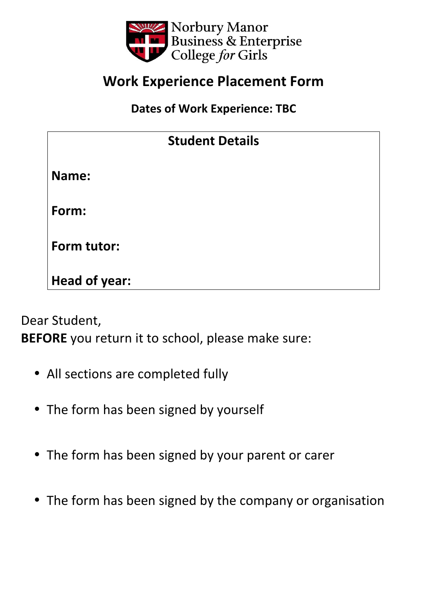

## **Work Experience Placement Form**

**Dates of Work Experience: TBC** 

| <b>Student Details</b> |  |  |
|------------------------|--|--|
| Name:                  |  |  |
| Form:                  |  |  |
| Form tutor:            |  |  |
| <b>Head of year:</b>   |  |  |

Dear Student,

**BEFORE** you return it to school, please make sure:

- All sections are completed fully
- The form has been signed by yourself
- The form has been signed by your parent or carer
- The form has been signed by the company or organisation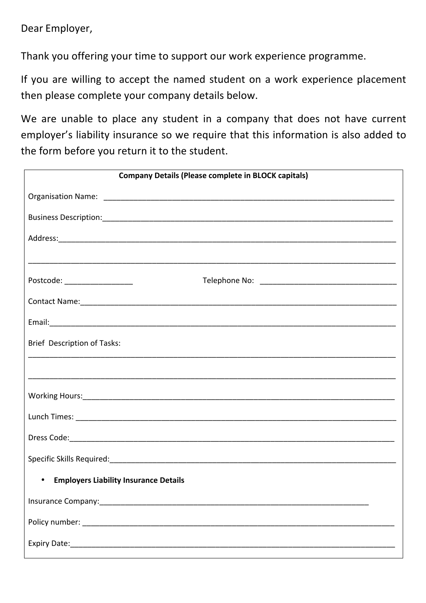Dear Employer,

Thank you offering your time to support our work experience programme.

If you are willing to accept the named student on a work experience placement then please complete your company details below.

We are unable to place any student in a company that does not have current employer's liability insurance so we require that this information is also added to the form before you return it to the student.

| <b>Company Details (Please complete in BLOCK capitals)</b>                                                                                                                                                                     |
|--------------------------------------------------------------------------------------------------------------------------------------------------------------------------------------------------------------------------------|
|                                                                                                                                                                                                                                |
|                                                                                                                                                                                                                                |
|                                                                                                                                                                                                                                |
|                                                                                                                                                                                                                                |
| Postcode: ___________________                                                                                                                                                                                                  |
| Contact Name: 1980 Contact Name: 1980 Contact Name: 1980 Contact Name: 1980 Contact Name: 1980 Contact Name: 1980 Contact Name: 1980 Contact Name: 1980 Contact Name: 1980 Contact Name: 1980 Contact Name: 1980 Contact Name: |
|                                                                                                                                                                                                                                |
| Brief Description of Tasks:                                                                                                                                                                                                    |
|                                                                                                                                                                                                                                |
|                                                                                                                                                                                                                                |
|                                                                                                                                                                                                                                |
|                                                                                                                                                                                                                                |
|                                                                                                                                                                                                                                |
|                                                                                                                                                                                                                                |
| <b>Employers Liability Insurance Details</b>                                                                                                                                                                                   |
|                                                                                                                                                                                                                                |
|                                                                                                                                                                                                                                |
|                                                                                                                                                                                                                                |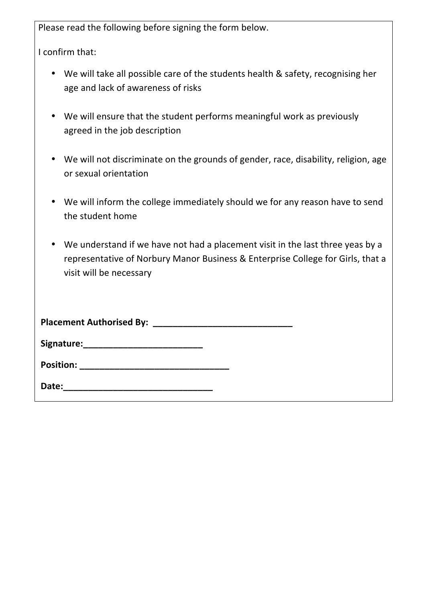Please read the following before signing the form below.

I confirm that:

- We will take all possible care of the students health & safety, recognising her age and lack of awareness of risks
- We will ensure that the student performs meaningful work as previously agreed in the job description
- We will not discriminate on the grounds of gender, race, disability, religion, age or sexual orientation
- We will inform the college immediately should we for any reason have to send the student home
- We understand if we have not had a placement visit in the last three yeas by a representative of Norbury Manor Business & Enterprise College for Girls, that a visit will be necessary

| <b>Placement Authorised By:</b>                             |
|-------------------------------------------------------------|
| Signature:<br><u> 1980 - Andrea Andrew Maria (h. 1980).</u> |
| <b>Position:</b>                                            |
| Date:                                                       |